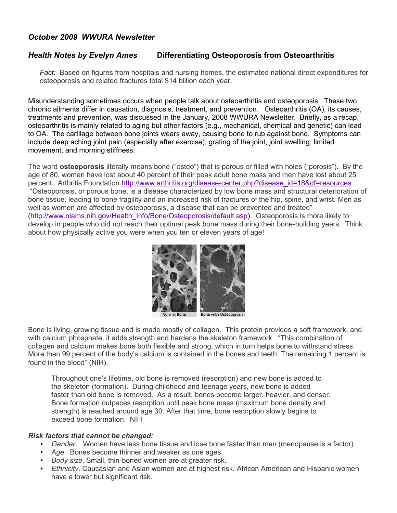## *October 2009 WWURA Newsletter*

# *Health Notes by Evelyn Ames* **Differentiating Osteoporosis from Osteoarthritis**

*Fact:* Based on figures from hospitals and nursing homes, the estimated national direct expenditures for osteoporosis and related fractures total \$14 billion each year.

Misunderstanding sometimes occurs when people talk about osteoarthritis and osteoporosis. These two chronic ailments differ in causation, diagnosis, treatment, and prevention. Osteoarthritis (OA), its causes, treatments and prevention, was discussed in the January, 2008 WWURA Newsletter. Briefly, as a recap, osteoarthritis is mainly related to aging but other factors (e.g., mechanical, chemical and genetic) can lead to OA. The cartilage between bone joints wears away, causing bone to rub against bone. Symptoms can include deep aching joint pain (especially after exercise), grating of the joint, joint swelling, limited movement, and morning stiffness.

The word **osteoporosis** literally means bone ("osteo") that is porous or filled with holes ("porosis"). By the age of 80, women have lost about 40 percent of their peak adult bone mass and men have lost about 25 percent. Arthritis Foundation [http://www.arthritis.org/disease-center.php?disease\\_id=18&df=resources](http://www.arthritis.org/disease-center.php?disease_id=18&df=resources) . "Osteoporosis, or porous bone, is a disease characterized by low bone mass and structural deterioration of bone tissue, leading to bone fragility and an increased risk of fractures of the hip, spine, and wrist. Men as well as women are affected by osteoporosis, a disease that can be prevented and treated" [\(http://www.niams.nih.gov/Health\\_Info/Bone/Osteoporosis/default.asp\)](http://www.niams.nih.gov/Health_Info/Bone/Osteoporosis/default.asp). Osteoporosis is more likely to develop in people who did not reach their optimal peak bone mass during their bone-building years. Think about how physically active you were when you ten or eleven years of age!



Bone is living, growing tissue and is made mostly of collagen. This protein provides a soft framework, and with calcium phosphate, it adds strength and hardens the skeleton framework. "This combination of collagen and calcium makes bone both flexible and strong, which in turn helps bone to withstand stress. More than 99 percent of the body's calcium is contained in the bones and teeth. The remaining 1 percent is found in the blood" (NIH).

Throughout one's lifetime, old bone is removed (resorption) and new bone is added to the skeleton (formation). During childhood and teenage years, new bone is added faster than old bone is removed. As a result, bones become larger, heavier, and denser. Bone formation outpaces resorption until peak bone mass (maximum bone density and strength) is reached around age 30. After that time, bone resorption slowly begins to exceed bone formation. NIH

#### *Risk factors that cannot be changed:*

- *Gender*. Women have less bone tissue and lose bone faster than men (menopause is a factor).
- *Age*. Bones become thinner and weaker as one ages.
- *Body size*. Small, thin-boned women are at greater risk.
- *Ethnicity*. Caucasian and Asian women are at highest risk. African American and Hispanic women have a lower but significant risk.